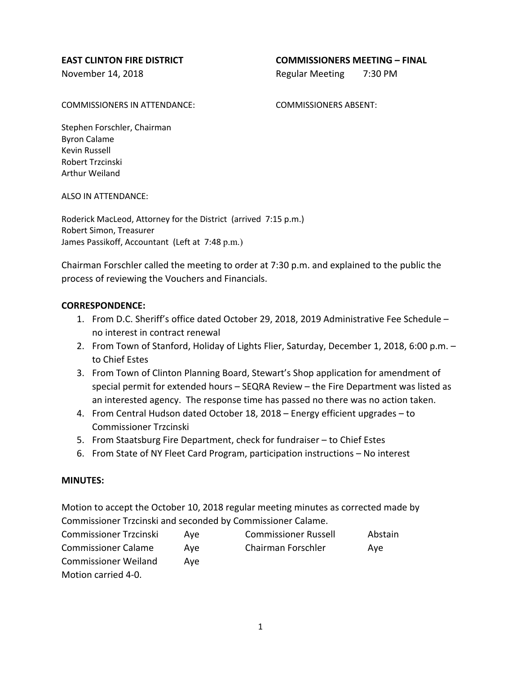## **EAST CLINTON FIRE DISTRICT COMMISSIONERS MEETING – FINAL**

November 14, 2018 **Regular Meeting 7:30 PM** 

COMMISSIONERS IN ATTENDANCE: COMMISSIONERS ABSENT:

Stephen Forschler, Chairman Byron Calame Kevin Russell Robert Trzcinski Arthur Weiland

ALSO IN ATTENDANCE:

Roderick MacLeod, Attorney for the District (arrived 7:15 p.m.) Robert Simon, Treasurer James Passikoff, Accountant (Left at 7:48 p.m.)

Chairman Forschler called the meeting to order at 7:30 p.m. and explained to the public the process of reviewing the Vouchers and Financials.

## **CORRESPONDENCE:**

- 1. From D.C. Sheriff's office dated October 29, 2018, 2019 Administrative Fee Schedule no interest in contract renewal
- 2. From Town of Stanford, Holiday of Lights Flier, Saturday, December 1, 2018, 6:00 p.m. to Chief Estes
- 3. From Town of Clinton Planning Board, Stewart's Shop application for amendment of special permit for extended hours – SEQRA Review – the Fire Department was listed as an interested agency. The response time has passed no there was no action taken.
- 4. From Central Hudson dated October 18, 2018 Energy efficient upgrades to Commissioner Trzcinski
- 5. From Staatsburg Fire Department, check for fundraiser to Chief Estes
- 6. From State of NY Fleet Card Program, participation instructions No interest

### **MINUTES:**

Motion to accept the October 10, 2018 regular meeting minutes as corrected made by Commissioner Trzcinski and seconded by Commissioner Calame.

| <b>Commissioner Trzcinski</b> | Ave | <b>Commissioner Russell</b> | Abstain |
|-------------------------------|-----|-----------------------------|---------|
| <b>Commissioner Calame</b>    | Ave | Chairman Forschler          | Ave     |
| <b>Commissioner Weiland</b>   | Ave |                             |         |
| Motion carried 4-0.           |     |                             |         |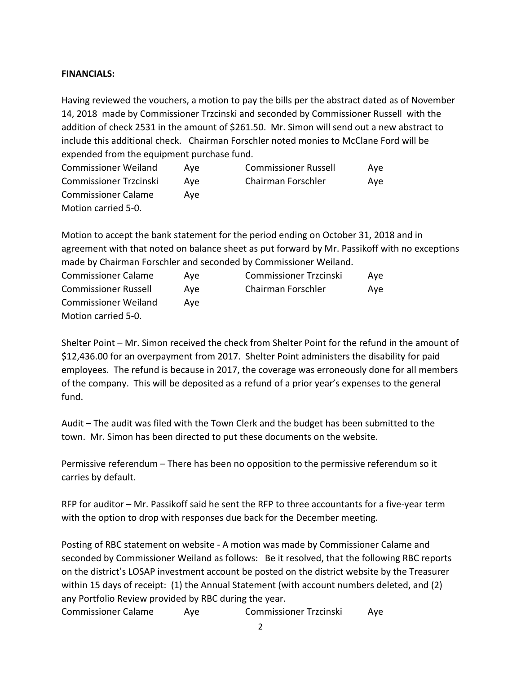# **FINANCIALS:**

Having reviewed the vouchers, a motion to pay the bills per the abstract dated as of November 14, 2018 made by Commissioner Trzcinski and seconded by Commissioner Russell with the addition of check 2531 in the amount of \$261.50. Mr. Simon will send out a new abstract to include this additional check. Chairman Forschler noted monies to McClane Ford will be expended from the equipment purchase fund.

| <b>Commissioner Weiland</b>   | Ave | <b>Commissioner Russell</b> | Ave |
|-------------------------------|-----|-----------------------------|-----|
| <b>Commissioner Trzcinski</b> | Ave | Chairman Forschler          | Ave |
| <b>Commissioner Calame</b>    | Ave |                             |     |
| Motion carried 5-0.           |     |                             |     |

Motion to accept the bank statement for the period ending on October 31, 2018 and in agreement with that noted on balance sheet as put forward by Mr. Passikoff with no exceptions made by Chairman Forschler and seconded by Commissioner Weiland.

| <b>Commissioner Calame</b>  | Ave | <b>Commissioner Trzcinski</b> | Ave |
|-----------------------------|-----|-------------------------------|-----|
| <b>Commissioner Russell</b> | Ave | Chairman Forschler            | Ave |
| <b>Commissioner Weiland</b> | Ave |                               |     |
| Motion carried 5-0.         |     |                               |     |

Shelter Point – Mr. Simon received the check from Shelter Point for the refund in the amount of \$12,436.00 for an overpayment from 2017. Shelter Point administers the disability for paid employees. The refund is because in 2017, the coverage was erroneously done for all members of the company. This will be deposited as a refund of a prior year's expenses to the general fund.

Audit – The audit was filed with the Town Clerk and the budget has been submitted to the town. Mr. Simon has been directed to put these documents on the website.

Permissive referendum – There has been no opposition to the permissive referendum so it carries by default.

RFP for auditor – Mr. Passikoff said he sent the RFP to three accountants for a five-year term with the option to drop with responses due back for the December meeting.

Posting of RBC statement on website - A motion was made by Commissioner Calame and seconded by Commissioner Weiland as follows: Be it resolved, that the following RBC reports on the district's LOSAP investment account be posted on the district website by the Treasurer within 15 days of receipt: (1) the Annual Statement (with account numbers deleted, and (2) any Portfolio Review provided by RBC during the year.

Commissioner Calame Aye Commissioner Trzcinski Aye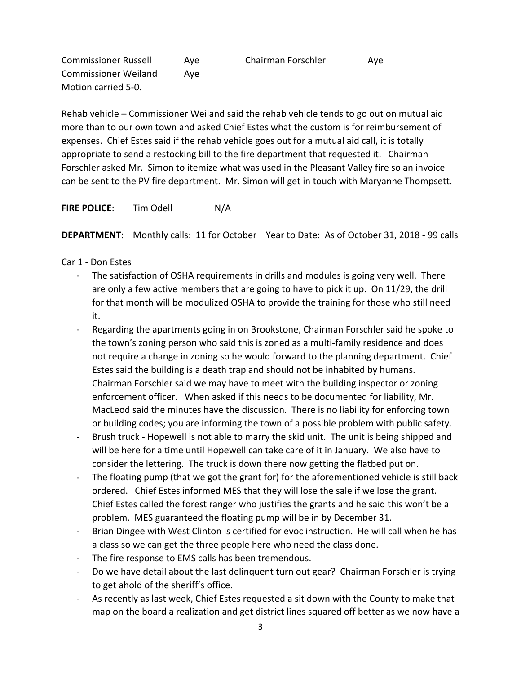Commissioner Russell Aye Chairman Forschler Aye Commissioner Weiland Aye Motion carried 5-0.

Rehab vehicle – Commissioner Weiland said the rehab vehicle tends to go out on mutual aid more than to our own town and asked Chief Estes what the custom is for reimbursement of expenses. Chief Estes said if the rehab vehicle goes out for a mutual aid call, it is totally appropriate to send a restocking bill to the fire department that requested it. Chairman Forschler asked Mr. Simon to itemize what was used in the Pleasant Valley fire so an invoice can be sent to the PV fire department. Mr. Simon will get in touch with Maryanne Thompsett.

**FIRE POLICE:** Tim Odell N/A

**DEPARTMENT**: Monthly calls: 11 for October Year to Date: As of October 31, 2018 - 99 calls

Car 1 - Don Estes

- The satisfaction of OSHA requirements in drills and modules is going very well. There are only a few active members that are going to have to pick it up. On 11/29, the drill for that month will be modulized OSHA to provide the training for those who still need it.
- Regarding the apartments going in on Brookstone, Chairman Forschler said he spoke to the town's zoning person who said this is zoned as a multi-family residence and does not require a change in zoning so he would forward to the planning department. Chief Estes said the building is a death trap and should not be inhabited by humans. Chairman Forschler said we may have to meet with the building inspector or zoning enforcement officer. When asked if this needs to be documented for liability, Mr. MacLeod said the minutes have the discussion. There is no liability for enforcing town or building codes; you are informing the town of a possible problem with public safety.
- Brush truck Hopewell is not able to marry the skid unit. The unit is being shipped and will be here for a time until Hopewell can take care of it in January. We also have to consider the lettering. The truck is down there now getting the flatbed put on.
- The floating pump (that we got the grant for) for the aforementioned vehicle is still back ordered. Chief Estes informed MES that they will lose the sale if we lose the grant. Chief Estes called the forest ranger who justifies the grants and he said this won't be a problem. MES guaranteed the floating pump will be in by December 31.
- Brian Dingee with West Clinton is certified for evoc instruction. He will call when he has a class so we can get the three people here who need the class done.
- The fire response to EMS calls has been tremendous.
- Do we have detail about the last delinquent turn out gear? Chairman Forschler is trying to get ahold of the sheriff's office.
- As recently as last week, Chief Estes requested a sit down with the County to make that map on the board a realization and get district lines squared off better as we now have a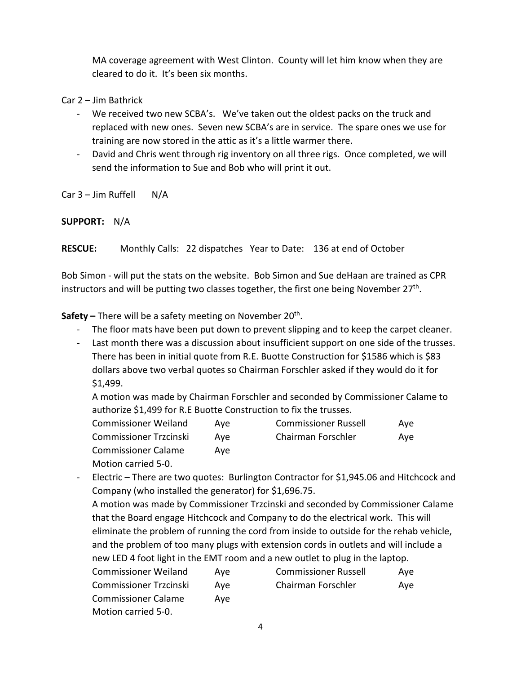MA coverage agreement with West Clinton. County will let him know when they are cleared to do it. It's been six months.

Car 2 – Jim Bathrick

- We received two new SCBA's. We've taken out the oldest packs on the truck and replaced with new ones. Seven new SCBA's are in service. The spare ones we use for training are now stored in the attic as it's a little warmer there.
- David and Chris went through rig inventory on all three rigs. Once completed, we will send the information to Sue and Bob who will print it out.

 $Car 3 – Jim Ruffell N/A$ 

**SUPPORT:** N/A

**RESCUE:** Monthly Calls: 22 dispatches Year to Date: 136 at end of October

Bob Simon - will put the stats on the website. Bob Simon and Sue deHaan are trained as CPR instructors and will be putting two classes together, the first one being November  $27<sup>th</sup>$ .

**Safety** – There will be a safety meeting on November 20<sup>th</sup>.

- The floor mats have been put down to prevent slipping and to keep the carpet cleaner.
- Last month there was a discussion about insufficient support on one side of the trusses. There has been in initial quote from R.E. Buotte Construction for \$1586 which is \$83 dollars above two verbal quotes so Chairman Forschler asked if they would do it for \$1,499.

A motion was made by Chairman Forschler and seconded by Commissioner Calame to authorize \$1,499 for R.E Buotte Construction to fix the trusses.

| <b>Commissioner Weiland</b>   | Ave | <b>Commissioner Russell</b> | Ave |
|-------------------------------|-----|-----------------------------|-----|
| <b>Commissioner Trzcinski</b> | Ave | Chairman Forschler          | Ave |
| <b>Commissioner Calame</b>    | Ave |                             |     |
| Motion carried 5-0.           |     |                             |     |

Electric – There are two quotes: Burlington Contractor for \$1,945.06 and Hitchcock and Company (who installed the generator) for \$1,696.75.

A motion was made by Commissioner Trzcinski and seconded by Commissioner Calame that the Board engage Hitchcock and Company to do the electrical work. This will eliminate the problem of running the cord from inside to outside for the rehab vehicle, and the problem of too many plugs with extension cords in outlets and will include a new LED 4 foot light in the EMT room and a new outlet to plug in the laptop.

| <b>Commissioner Weiland</b>   | Ave | <b>Commissioner Russell</b> | Ave |
|-------------------------------|-----|-----------------------------|-----|
| <b>Commissioner Trzcinski</b> | Ave | Chairman Forschler          | Ave |
| <b>Commissioner Calame</b>    | Ave |                             |     |
| Motion carried 5-0.           |     |                             |     |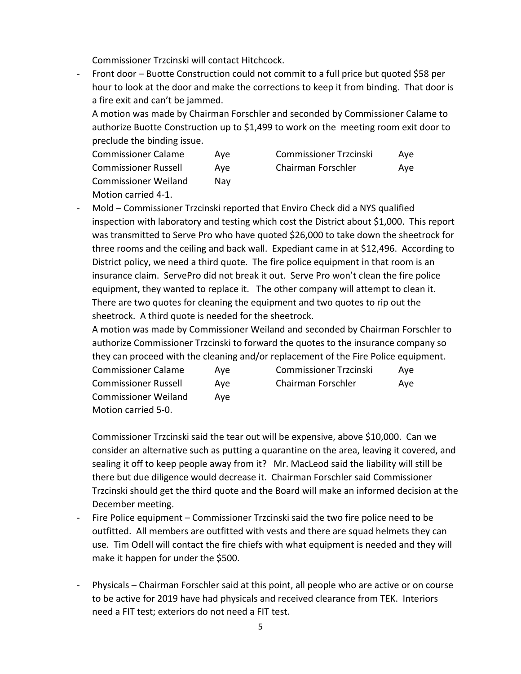Commissioner Trzcinski will contact Hitchcock.

- Front door – Buotte Construction could not commit to a full price but quoted \$58 per hour to look at the door and make the corrections to keep it from binding. That door is a fire exit and can't be jammed.

A motion was made by Chairman Forschler and seconded by Commissioner Calame to authorize Buotte Construction up to \$1,499 to work on the meeting room exit door to preclude the binding issue.

| <b>Commissioner Calame</b>  | Ave | <b>Commissioner Trzcinski</b> | Ave |
|-----------------------------|-----|-------------------------------|-----|
| Commissioner Russell        | Ave | Chairman Forschler            | Ave |
| <b>Commissioner Weiland</b> | Nav |                               |     |
| Motion carried 4-1          |     |                               |     |

- Mold – Commissioner Trzcinski reported that Enviro Check did a NYS qualified inspection with laboratory and testing which cost the District about \$1,000. This report was transmitted to Serve Pro who have quoted \$26,000 to take down the sheetrock for three rooms and the ceiling and back wall. Expediant came in at \$12,496. According to District policy, we need a third quote. The fire police equipment in that room is an insurance claim. ServePro did not break it out. Serve Pro won't clean the fire police equipment, they wanted to replace it. The other company will attempt to clean it. There are two quotes for cleaning the equipment and two quotes to rip out the sheetrock. A third quote is needed for the sheetrock.

A motion was made by Commissioner Weiland and seconded by Chairman Forschler to authorize Commissioner Trzcinski to forward the quotes to the insurance company so they can proceed with the cleaning and/or replacement of the Fire Police equipment.

| <b>Commissioner Calame</b>  | Ave | <b>Commissioner Trzcinski</b> | Ave |
|-----------------------------|-----|-------------------------------|-----|
| <b>Commissioner Russell</b> | Ave | Chairman Forschler            | Ave |
| <b>Commissioner Weiland</b> | Ave |                               |     |
| Motion carried 5-0.         |     |                               |     |

Commissioner Trzcinski said the tear out will be expensive, above \$10,000. Can we consider an alternative such as putting a quarantine on the area, leaving it covered, and sealing it off to keep people away from it? Mr. MacLeod said the liability will still be there but due diligence would decrease it. Chairman Forschler said Commissioner Trzcinski should get the third quote and the Board will make an informed decision at the December meeting.

- Fire Police equipment Commissioner Trzcinski said the two fire police need to be outfitted. All members are outfitted with vests and there are squad helmets they can use. Tim Odell will contact the fire chiefs with what equipment is needed and they will make it happen for under the \$500.
- Physicals Chairman Forschler said at this point, all people who are active or on course to be active for 2019 have had physicals and received clearance from TEK. Interiors need a FIT test; exteriors do not need a FIT test.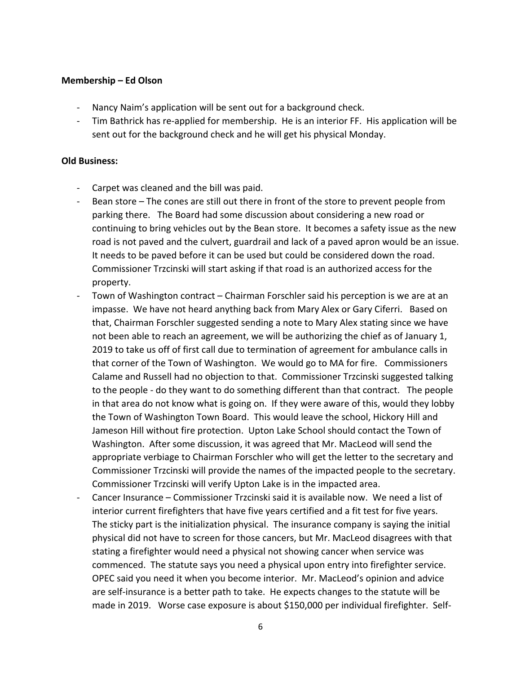## **Membership – Ed Olson**

- Nancy Naim's application will be sent out for a background check.
- Tim Bathrick has re-applied for membership. He is an interior FF. His application will be sent out for the background check and he will get his physical Monday.

## **Old Business:**

- Carpet was cleaned and the bill was paid.
- Bean store The cones are still out there in front of the store to prevent people from parking there. The Board had some discussion about considering a new road or continuing to bring vehicles out by the Bean store. It becomes a safety issue as the new road is not paved and the culvert, guardrail and lack of a paved apron would be an issue. It needs to be paved before it can be used but could be considered down the road. Commissioner Trzcinski will start asking if that road is an authorized access for the property.
- Town of Washington contract Chairman Forschler said his perception is we are at an impasse. We have not heard anything back from Mary Alex or Gary Ciferri. Based on that, Chairman Forschler suggested sending a note to Mary Alex stating since we have not been able to reach an agreement, we will be authorizing the chief as of January 1, 2019 to take us off of first call due to termination of agreement for ambulance calls in that corner of the Town of Washington. We would go to MA for fire. Commissioners Calame and Russell had no objection to that. Commissioner Trzcinski suggested talking to the people - do they want to do something different than that contract. The people in that area do not know what is going on. If they were aware of this, would they lobby the Town of Washington Town Board. This would leave the school, Hickory Hill and Jameson Hill without fire protection. Upton Lake School should contact the Town of Washington. After some discussion, it was agreed that Mr. MacLeod will send the appropriate verbiage to Chairman Forschler who will get the letter to the secretary and Commissioner Trzcinski will provide the names of the impacted people to the secretary. Commissioner Trzcinski will verify Upton Lake is in the impacted area.
- Cancer Insurance Commissioner Trzcinski said it is available now. We need a list of interior current firefighters that have five years certified and a fit test for five years. The sticky part is the initialization physical. The insurance company is saying the initial physical did not have to screen for those cancers, but Mr. MacLeod disagrees with that stating a firefighter would need a physical not showing cancer when service was commenced. The statute says you need a physical upon entry into firefighter service. OPEC said you need it when you become interior. Mr. MacLeod's opinion and advice are self-insurance is a better path to take. He expects changes to the statute will be made in 2019. Worse case exposure is about \$150,000 per individual firefighter. Self-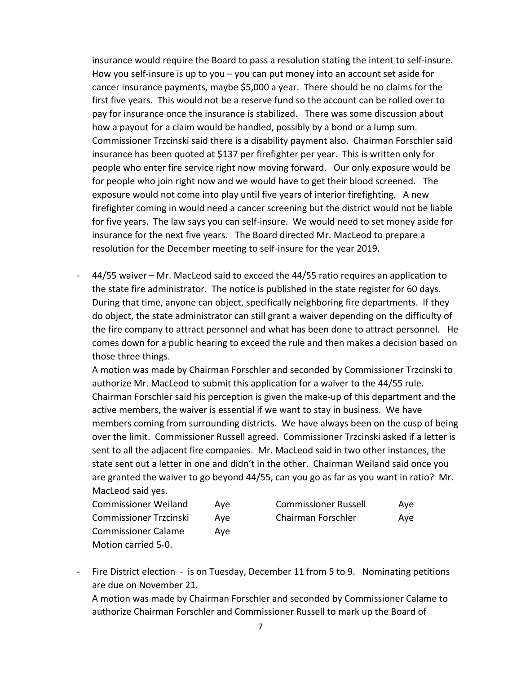insurance would require the Board to pass a resolution stating the intent to self-insure. How you self-insure is up to you – you can put money into an account set aside for cancer insurance payments, maybe \$5,000 a year. There should be no claims for the first five years. This would not be a reserve fund so the account can be rolled over to pay for insurance once the insurance is stabilized. There was some discussion about how a payout for a claim would be handled, possibly by a bond or a lump sum. Commissioner Trzcinski said there is a disability payment also. Chairman Forschler said insurance has been quoted at \$137 per firefighter per year. This is written only for people who enter fire service right now moving forward. Our only exposure would be for people who join right now and we would have to get their blood screened. The exposure would not come into play until five years of interior firefighting. A new firefighter coming in would need a cancer screening but the district would not be liable for five years. The law says you can self-insure. We would need to set money aside for insurance for the next five years. The Board directed Mr. MacLeod to prepare a resolution for the December meeting to self-insure for the year 2019.

- 44/55 waiver – Mr. MacLeod said to exceed the 44/55 ratio requires an application to the state fire administrator. The notice is published in the state register for 60 days. During that time, anyone can object, specifically neighboring fire departments. If they do object, the state administrator can still grant a waiver depending on the difficulty of the fire company to attract personnel and what has been done to attract personnel. He comes down for a public hearing to exceed the rule and then makes a decision based on those three things.

A motion was made by Chairman Forschler and seconded by Commissioner Trzcinski to authorize Mr. MacLeod to submit this application for a waiver to the 44/55 rule. Chairman Forschler said his perception is given the make-up of this department and the active members, the waiver is essential if we want to stay in business. We have members coming from surrounding districts. We have always been on the cusp of being over the limit. Commissioner Russell agreed. Commissioner Trzcinski asked if a letter is sent to all the adjacent fire companies. Mr. MacLeod said in two other instances, the state sent out a letter in one and didn't in the other. Chairman Weiland said once you are granted the waiver to go beyond 44/55, can you go as far as you want in ratio? Mr. MacLeod said yes.

| <b>Commissioner Weiland</b>   | Ave | <b>Commissioner Russell</b> | Ave |
|-------------------------------|-----|-----------------------------|-----|
| <b>Commissioner Trzcinski</b> | Ave | Chairman Forschler          | Ave |
| <b>Commissioner Calame</b>    | Ave |                             |     |
| Motion carried 5-0.           |     |                             |     |

| <b>Commissioner Russell</b> | Aye |
|-----------------------------|-----|
| Chairman Forschler          | Aye |

- Fire District election - is on Tuesday, December 11 from 5 to 9. Nominating petitions are due on November 21.

A motion was made by Chairman Forschler and seconded by Commissioner Calame to authorize Chairman Forschler and Commissioner Russell to mark up the Board of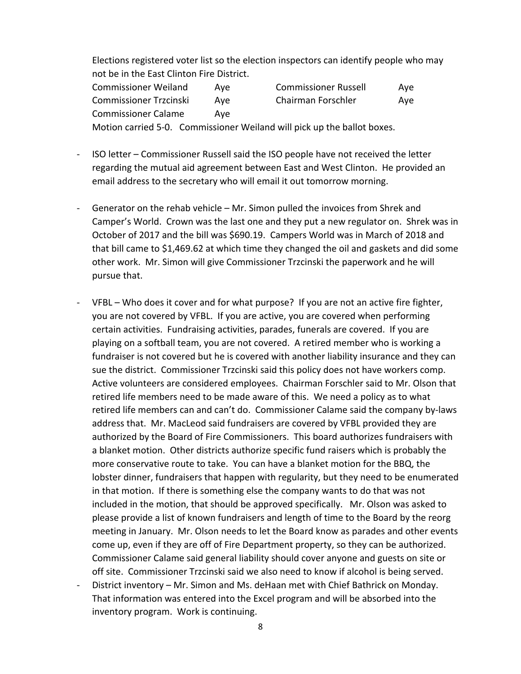Elections registered voter list so the election inspectors can identify people who may not be in the East Clinton Fire District.

| <b>Commissioner Weiland</b>   | Ave | <b>Commissioner Russell</b> | Ave |
|-------------------------------|-----|-----------------------------|-----|
| <b>Commissioner Trzcinski</b> | Ave | Chairman Forschler          | Ave |
| <b>Commissioner Calame</b>    | Ave |                             |     |

Motion carried 5-0. Commissioner Weiland will pick up the ballot boxes.

- ISO letter Commissioner Russell said the ISO people have not received the letter regarding the mutual aid agreement between East and West Clinton. He provided an email address to the secretary who will email it out tomorrow morning.
- Generator on the rehab vehicle Mr. Simon pulled the invoices from Shrek and Camper's World. Crown was the last one and they put a new regulator on. Shrek was in October of 2017 and the bill was \$690.19. Campers World was in March of 2018 and that bill came to \$1,469.62 at which time they changed the oil and gaskets and did some other work. Mr. Simon will give Commissioner Trzcinski the paperwork and he will pursue that.
- VFBL Who does it cover and for what purpose? If you are not an active fire fighter, you are not covered by VFBL. If you are active, you are covered when performing certain activities. Fundraising activities, parades, funerals are covered. If you are playing on a softball team, you are not covered. A retired member who is working a fundraiser is not covered but he is covered with another liability insurance and they can sue the district. Commissioner Trzcinski said this policy does not have workers comp. Active volunteers are considered employees. Chairman Forschler said to Mr. Olson that retired life members need to be made aware of this. We need a policy as to what retired life members can and can't do. Commissioner Calame said the company by-laws address that. Mr. MacLeod said fundraisers are covered by VFBL provided they are authorized by the Board of Fire Commissioners. This board authorizes fundraisers with a blanket motion. Other districts authorize specific fund raisers which is probably the more conservative route to take. You can have a blanket motion for the BBQ, the lobster dinner, fundraisers that happen with regularity, but they need to be enumerated in that motion. If there is something else the company wants to do that was not included in the motion, that should be approved specifically. Mr. Olson was asked to please provide a list of known fundraisers and length of time to the Board by the reorg meeting in January. Mr. Olson needs to let the Board know as parades and other events come up, even if they are off of Fire Department property, so they can be authorized. Commissioner Calame said general liability should cover anyone and guests on site or off site. Commissioner Trzcinski said we also need to know if alcohol is being served.
- District inventory Mr. Simon and Ms. deHaan met with Chief Bathrick on Monday. That information was entered into the Excel program and will be absorbed into the inventory program. Work is continuing.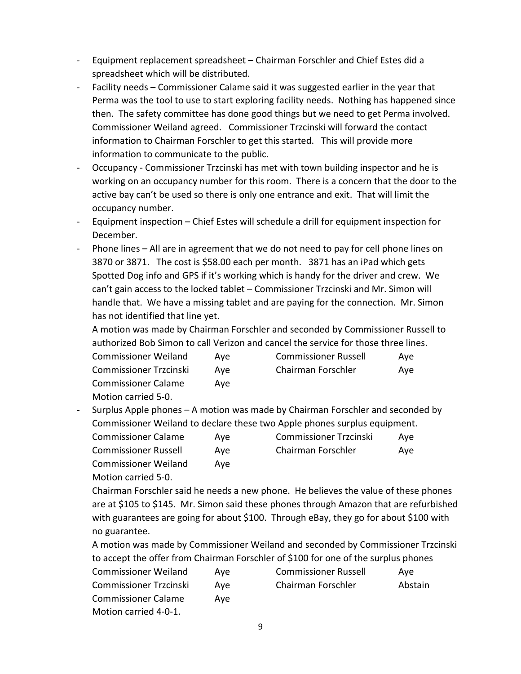- Equipment replacement spreadsheet Chairman Forschler and Chief Estes did a spreadsheet which will be distributed.
- Facility needs Commissioner Calame said it was suggested earlier in the year that Perma was the tool to use to start exploring facility needs. Nothing has happened since then. The safety committee has done good things but we need to get Perma involved. Commissioner Weiland agreed. Commissioner Trzcinski will forward the contact information to Chairman Forschler to get this started. This will provide more information to communicate to the public.
- Occupancy Commissioner Trzcinski has met with town building inspector and he is working on an occupancy number for this room. There is a concern that the door to the active bay can't be used so there is only one entrance and exit. That will limit the occupancy number.
- Equipment inspection Chief Estes will schedule a drill for equipment inspection for December.
- Phone lines All are in agreement that we do not need to pay for cell phone lines on 3870 or 3871. The cost is \$58.00 each per month. 3871 has an iPad which gets Spotted Dog info and GPS if it's working which is handy for the driver and crew. We can't gain access to the locked tablet – Commissioner Trzcinski and Mr. Simon will handle that. We have a missing tablet and are paying for the connection. Mr. Simon has not identified that line yet.

A motion was made by Chairman Forschler and seconded by Commissioner Russell to authorized Bob Simon to call Verizon and cancel the service for those three lines.

| <b>Commissioner Weiland</b>   | Ave | <b>Commissioner Russell</b> | Ave |
|-------------------------------|-----|-----------------------------|-----|
| <b>Commissioner Trzcinski</b> | Ave | Chairman Forschler          | Ave |
| <b>Commissioner Calame</b>    | Ave |                             |     |
| Motion carried 5-0.           |     |                             |     |

- Surplus Apple phones – A motion was made by Chairman Forschler and seconded by Commissioner Weiland to declare these two Apple phones surplus equipment.

| <b>Commissioner Calame</b>  | Ave | <b>Commissioner Trzcinski</b> | Ave |
|-----------------------------|-----|-------------------------------|-----|
| <b>Commissioner Russell</b> | Ave | Chairman Forschler            | Ave |
| <b>Commissioner Weiland</b> | Ave |                               |     |
| Motion carried 5-0.         |     |                               |     |

Chairman Forschler said he needs a new phone. He believes the value of these phones are at \$105 to \$145. Mr. Simon said these phones through Amazon that are refurbished with guarantees are going for about \$100. Through eBay, they go for about \$100 with no guarantee.

A motion was made by Commissioner Weiland and seconded by Commissioner Trzcinski to accept the offer from Chairman Forschler of \$100 for one of the surplus phones

| <b>Commissioner Weiland</b>   | Ave | <b>Commissioner Russell</b> | Ave     |
|-------------------------------|-----|-----------------------------|---------|
| <b>Commissioner Trzcinski</b> | Ave | Chairman Forschler          | Abstain |
| <b>Commissioner Calame</b>    | Ave |                             |         |
| Motion carried 4-0-1.         |     |                             |         |

9